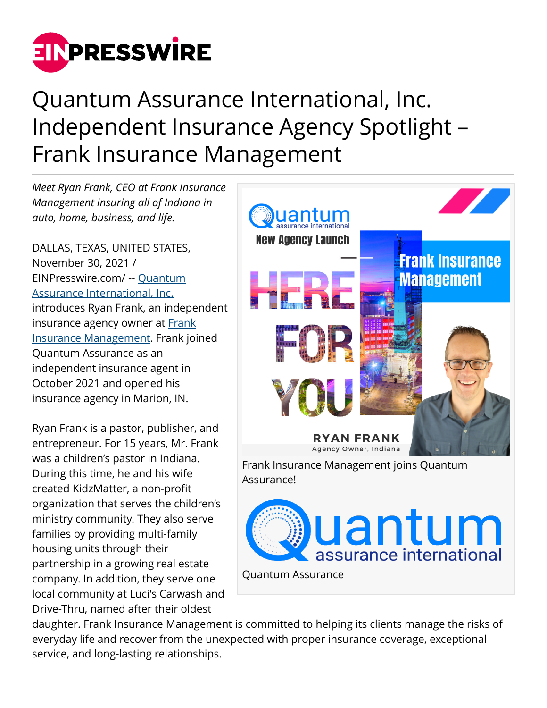

## Quantum Assurance International, Inc. Independent Insurance Agency Spotlight – Frank Insurance Management

*Meet Ryan Frank, CEO at Frank Insurance Management insuring all of Indiana in auto, home, business, and life.*

DALLAS, TEXAS, UNITED STATES, November 30, 2021 / [EINPresswire.com](http://www.einpresswire.com)/ -- [Quantum](https://www.quantumassurance.com/agents?utm_source=pr&utm_medium=ryan_frank&utm_id=pr) [Assurance International, Inc.](https://www.quantumassurance.com/agents?utm_source=pr&utm_medium=ryan_frank&utm_id=pr) introduces Ryan Frank, an independent insurance agency owner at [Frank](https://www.frankinsurancemanagement.com/) [Insurance Management](https://www.frankinsurancemanagement.com/). Frank joined Quantum Assurance as an independent insurance agent in October 2021 and opened his insurance agency in Marion, IN.

Ryan Frank is a pastor, publisher, and entrepreneur. For 15 years, Mr. Frank was a children's pastor in Indiana. During this time, he and his wife created KidzMatter, a non-profit organization that serves the children's ministry community. They also serve families by providing multi-family housing units through their partnership in a growing real estate company. In addition, they serve one local community at Luci's Carwash and Drive-Thru, named after their oldest



daughter. Frank Insurance Management is committed to helping its clients manage the risks of everyday life and recover from the unexpected with proper insurance coverage, exceptional service, and long-lasting relationships.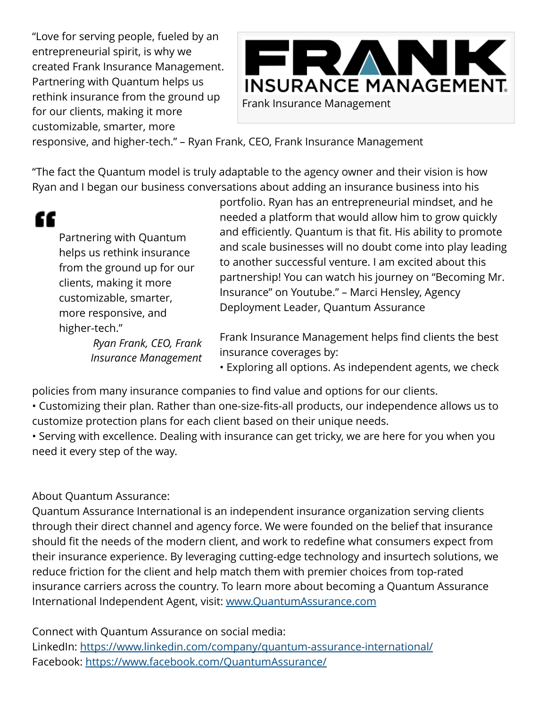"Love for serving people, fueled by an entrepreneurial spirit, is why we created Frank Insurance Management. Partnering with Quantum helps us rethink insurance from the ground up for our clients, making it more customizable, smarter, more



responsive, and higher-tech." – Ryan Frank, CEO, Frank Insurance Management

"The fact the Quantum model is truly adaptable to the agency owner and their vision is how Ryan and I began our business conversations about adding an insurance business into his

## "

Partnering with Quantum helps us rethink insurance from the ground up for our clients, making it more customizable, smarter, more responsive, and higher-tech."

> *Ryan Frank, CEO, Frank Insurance Management*

portfolio. Ryan has an entrepreneurial mindset, and he needed a platform that would allow him to grow quickly and efficiently. Quantum is that fit. His ability to promote and scale businesses will no doubt come into play leading to another successful venture. I am excited about this partnership! You can watch his journey on "Becoming Mr. Insurance" on Youtube." – Marci Hensley, Agency Deployment Leader, Quantum Assurance

Frank Insurance Management helps find clients the best insurance coverages by:

• Exploring all options. As independent agents, we check

policies from many insurance companies to find value and options for our clients.

• Customizing their plan. Rather than one-size-fits-all products, our independence allows us to customize protection plans for each client based on their unique needs.

• Serving with excellence. Dealing with insurance can get tricky, we are here for you when you need it every step of the way.

## About Quantum Assurance:

Quantum Assurance International is an independent insurance organization serving clients through their direct channel and agency force. We were founded on the belief that insurance should fit the needs of the modern client, and work to redefine what consumers expect from their insurance experience. By leveraging cutting-edge technology and insurtech solutions, we reduce friction for the client and help match them with premier choices from top-rated insurance carriers across the country. To learn more about becoming a Quantum Assurance International Independent Agent, visit: [www.QuantumAssurance.com](https://www.quantumassurance.com/agents?utm_source=pr&utm_medium=ryan_frank&utm_id=pr)

Connect with Quantum Assurance on social media: LinkedIn: <https://www.linkedin.com/company/quantum-assurance-international/> Facebook: <https://www.facebook.com/QuantumAssurance/>